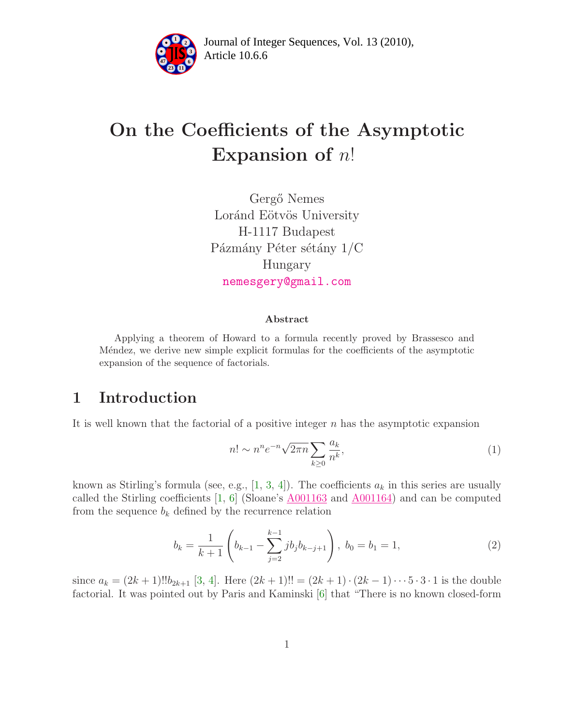

Article 10.6.6 **<sup>2</sup>** Journal of Integer Sequences, Vol. 13 (2010),

# On the Coefficients of the Asymptotic Expansion of  $n!$

Gergő Nemes Loránd Eötvös University H-1117 Budapest Pázmány Péter sétány $1/C$ Hungary [nemesgery@gmail.com](mailto:nemesgery@gmail.com)

#### Abstract

Applying a theorem of Howard to a formula recently proved by Brassesco and Méndez, we derive new simple explicit formulas for the coefficients of the asymptotic expansion of the sequence of factorials.

# 1 Introduction

It is well known that the factorial of a positive integer  $n$  has the asymptotic expansion

$$
n! \sim n^n e^{-n} \sqrt{2\pi n} \sum_{k \ge 0} \frac{a_k}{n^k},\tag{1}
$$

known as Stirling's formula (see, e.g., [\[1,](#page-4-0) [3,](#page-4-1) [4\]](#page-4-2)). The coefficients  $a_k$  in this series are usually called the Stirling coefficients  $[1, 6]$  $[1, 6]$  (Sloane's  $\underline{A001163}$  $\underline{A001163}$  $\underline{A001163}$  and  $\underline{A001164}$ ) and can be computed from the sequence  $b_k$  defined by the recurrence relation

$$
b_k = \frac{1}{k+1} \left( b_{k-1} - \sum_{j=2}^{k-1} j b_j b_{k-j+1} \right), \ b_0 = b_1 = 1,
$$
 (2)

since  $a_k = (2k+1)!!b_{2k+1}$  [\[3,](#page-4-1) [4\]](#page-4-2). Here  $(2k+1)!! = (2k+1) \cdot (2k-1) \cdot \cdot \cdot 5 \cdot 3 \cdot 1$  is the double factorial. It was pointed out by Paris and Kaminski [\[6\]](#page-4-3) that "There is no known closed-form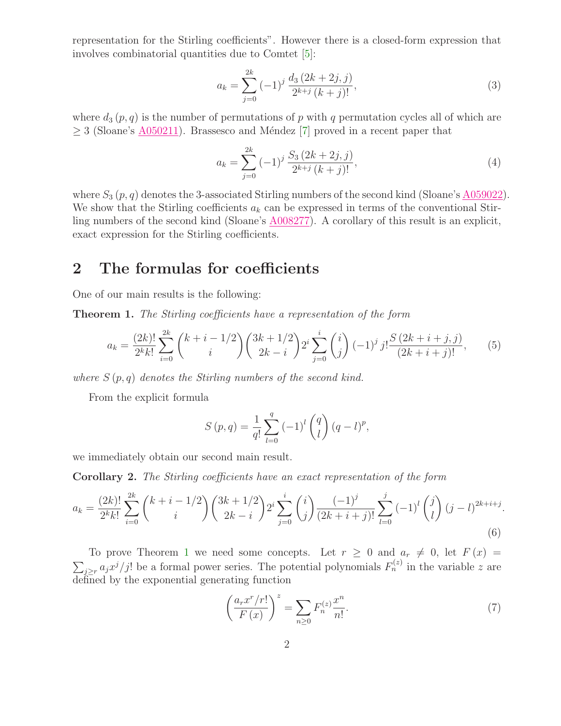representation for the Stirling coefficients". However there is a closed-form expression that involves combinatorial quantities due to Comtet [\[5\]](#page-4-4):

$$
a_k = \sum_{j=0}^{2k} (-1)^j \frac{d_3 (2k+2j, j)}{2^{k+j} (k+j)!},
$$
\n(3)

where  $d_3(p,q)$  is the number of permutations of p with q permutation cycles all of which are  $\geq$  3 (Sloane's  $\triangle$ 050211). Brassesco and Méndez [\[7\]](#page-4-5) proved in a recent paper that

$$
a_k = \sum_{j=0}^{2k} (-1)^j \frac{S_3 (2k+2j, j)}{2^{k+j} (k+j)!},
$$
\n(4)

where  $S_3(p,q)$  denotes the 3-associated Stirling numbers of the second kind (Sloane's [A059022\)](http://www.research.att.com/cgi-bin/access.cgi/as/~njas/sequences/eisA.cgi?Anum=A059022). We show that the Stirling coefficients  $a_k$  can be expressed in terms of the conventional Stirling numbers of the second kind (Sloane's [A008277\)](http://www.research.att.com/cgi-bin/access.cgi/as/~njas/sequences/eisA.cgi?Anum=A008277). A corollary of this result is an explicit, exact expression for the Stirling coefficients.

### 2 The formulas for coefficients

<span id="page-1-0"></span>One of our main results is the following:

Theorem 1. The Stirling coefficients have a representation of the form

$$
a_k = \frac{(2k)!}{2^k k!} \sum_{i=0}^{2k} {k+i-1/2 \choose i} {3k+1/2 \choose 2k-i} 2^i \sum_{j=0}^i {i \choose j} (-1)^j j! \frac{S(2k+i+j,j)}{(2k+i+j)!},
$$
(5)

where  $S(p,q)$  denotes the Stirling numbers of the second kind.

From the explicit formula

$$
S(p,q) = \frac{1}{q!} \sum_{l=0}^{q} (-1)^{l} {q \choose l} (q-l)^{p},
$$

we immediately obtain our second main result.

Corollary 2. The Stirling coefficients have an exact representation of the form

$$
a_k = \frac{(2k)!}{2^k k!} \sum_{i=0}^{2k} {k+i-1/2 \choose i} {3k+1/2 \choose 2k-i} 2^i \sum_{j=0}^i {i \choose j} \frac{(-1)^j}{(2k+i+j)!} \sum_{l=0}^j (-1)^l {j \choose l} (j-l)^{2k+i+j}.
$$
\n(6)

To prove Theorem [1](#page-1-0) we need some concepts. Let  $r \geq 0$  and  $a_r \neq 0$ , let  $F(x) =$  $\sum_{j\geq r} a_j x^j / j!$  be a formal power series. The potential polynomials  $F_n^{(z)}$  in the variable z are defined by the exponential generating function

<span id="page-1-1"></span>
$$
\left(\frac{a_r x^r / r!}{F(x)}\right)^z = \sum_{n \ge 0} F_n^{(z)} \frac{x^n}{n!}.\tag{7}
$$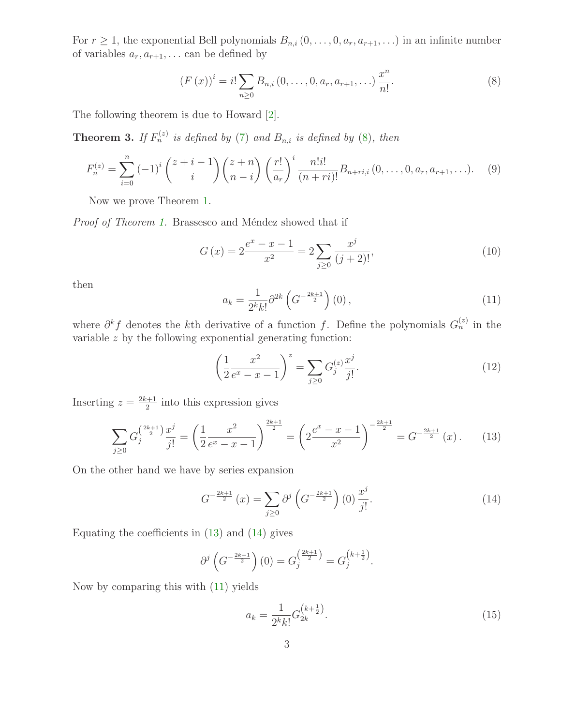For  $r \geq 1$ , the exponential Bell polynomials  $B_{n,i} (0, \ldots, 0, a_r, a_{r+1}, \ldots)$  in an infinite number of variables  $a_r, a_{r+1}, \ldots$  can be defined by

<span id="page-2-0"></span>
$$
(F(x))^{i} = i! \sum_{n \geq 0} B_{n,i} (0, \dots, 0, a_{r}, a_{r+1}, \dots) \frac{x^{n}}{n!}.
$$
 (8)

The following theorem is due to Howard [\[2\]](#page-4-6).

**Theorem 3.** If  $F_n^{(z)}$  is defined by [\(7\)](#page-1-1) and  $B_{n,i}$  is defined by [\(8\)](#page-2-0), then

$$
F_n^{(z)} = \sum_{i=0}^n (-1)^i \binom{z+i-1}{i} \binom{z+n}{n-i} \left(\frac{r!}{a_r}\right)^i \frac{n!i!}{(n+ri)!} B_{n+ri,i}(0,\ldots,0,a_r,a_{r+1},\ldots). \tag{9}
$$

Now we prove Theorem [1.](#page-1-0)

*Proof of Theorem [1.](#page-1-0)* Brassesco and Méndez showed that if

$$
G(x) = 2\frac{e^x - x - 1}{x^2} = 2\sum_{j\geq 0} \frac{x^j}{(j+2)!},
$$
\n(10)

<span id="page-2-3"></span>then

$$
a_k = \frac{1}{2^k k!} \partial^{2k} \left( G^{-\frac{2k+1}{2}} \right) (0) \,, \tag{11}
$$

where  $\partial^k f$  denotes the k<sup>th</sup> derivative of a function f. Define the polynomials  $G_n^{(z)}$  in the variable z by the following exponential generating function:

<span id="page-2-1"></span>
$$
\left(\frac{1}{2}\frac{x^2}{e^x - x - 1}\right)^z = \sum_{j\geq 0} G_j^{(z)} \frac{x^j}{j!}.
$$
\n(12)

Inserting  $z = \frac{2k+1}{2}$  $\frac{z+1}{2}$  into this expression gives

$$
\sum_{j\geq 0} G_j^{\left(\frac{2k+1}{2}\right)} \frac{x^j}{j!} = \left(\frac{1}{2} \frac{x^2}{e^x - x - 1}\right)^{\frac{2k+1}{2}} = \left(2 \frac{e^x - x - 1}{x^2}\right)^{-\frac{2k+1}{2}} = G^{-\frac{2k+1}{2}}(x). \tag{13}
$$

On the other hand we have by series expansion

<span id="page-2-2"></span>
$$
G^{-\frac{2k+1}{2}}(x) = \sum_{j\geq 0} \partial^j \left( G^{-\frac{2k+1}{2}} \right)(0) \frac{x^j}{j!}.
$$
 (14)

Equating the coefficients in  $(13)$  and  $(14)$  gives

<span id="page-2-4"></span>
$$
\partial^j \left( G^{-\frac{2k+1}{2}} \right)(0) = G_j^{\left(\frac{2k+1}{2}\right)} = G_j^{\left(k+\frac{1}{2}\right)}.
$$

Now by comparing this with [\(11\)](#page-2-3) yields

$$
a_k = \frac{1}{2^k k!} G_{2k}^{\left(k + \frac{1}{2}\right)}.
$$
\n(15)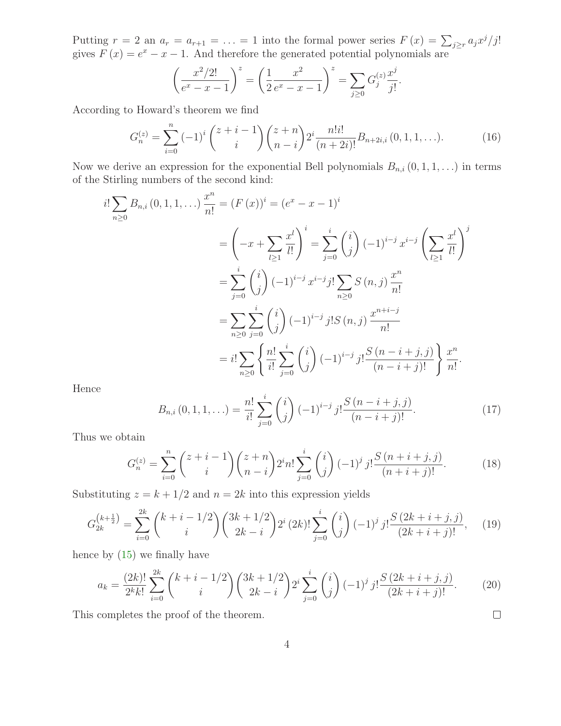Putting  $r = 2$  an  $a_r = a_{r+1} = \ldots = 1$  into the formal power series  $F(x) = \sum_{j \geq r} a_j x^j / j!$ gives  $F(x) = e^x - x - 1$ . And therefore the generated potential polynomials are

$$
\left(\frac{x^2/2!}{e^x - x - 1}\right)^z = \left(\frac{1}{2}\frac{x^2}{e^x - x - 1}\right)^z = \sum_{j \ge 0} G_j^{(z)} \frac{x^j}{j!}.
$$

According to Howard's theorem we find

$$
G_n^{(z)} = \sum_{i=0}^n (-1)^i \binom{z+i-1}{i} \binom{z+n}{n-i} 2^i \frac{n!i!}{(n+2i)!} B_{n+2i,i} (0, 1, 1, \ldots).
$$
 (16)

Now we derive an expression for the exponential Bell polynomials  $B_{n,i}$   $(0, 1, 1, ...)$  in terms of the Stirling numbers of the second kind:

$$
i! \sum_{n\geq 0} B_{n,i}(0,1,1,\ldots) \frac{x^n}{n!} = (F(x))^i = (e^x - x - 1)^i
$$
  

$$
= \left(-x + \sum_{l\geq 1} \frac{x^l}{l!} \right)^i = \sum_{j=0}^i {i \choose j} (-1)^{i-j} x^{i-j} \left(\sum_{l\geq 1} \frac{x^l}{l!} \right)^j
$$
  

$$
= \sum_{j=0}^i {i \choose j} (-1)^{i-j} x^{i-j} j! \sum_{n\geq 0} S(n,j) \frac{x^n}{n!}
$$
  

$$
= \sum_{n\geq 0} \sum_{j=0}^i {i \choose j} (-1)^{i-j} j! S(n,j) \frac{x^{n+i-j}}{n!}
$$
  

$$
= i! \sum_{n\geq 0} \left\{ \frac{n!}{i!} \sum_{j=0}^i {i \choose j} (-1)^{i-j} j! \frac{S(n-i+j,j)}{(n-i+j)!} \right\} \frac{x^n}{n!}.
$$

Hence

$$
B_{n,i}(0,1,1,\ldots) = \frac{n!}{i!} \sum_{j=0}^{i} {i \choose j} (-1)^{i-j} j! \frac{S(n-i+j,j)}{(n-i+j)!}.
$$
 (17)

Thus we obtain

$$
G_n^{(z)} = \sum_{i=0}^n {z+i-1 \choose i} {z+n \choose n-i} 2^i n! \sum_{j=0}^i {i \choose j} (-1)^j j! \frac{S(n+i+j,j)}{(n+i+j)!}.
$$
 (18)

Substituting  $z = k + 1/2$  and  $n = 2k$  into this expression yields

$$
G_{2k}^{(k+\frac{1}{2})} = \sum_{i=0}^{2k} {k+i-1/2 \choose i} {3k+1/2 \choose 2k-i} 2^i (2k)! \sum_{j=0}^i {i \choose j} (-1)^j j! \frac{S(2k+i+j,j)}{(2k+i+j)!}, \quad (19)
$$

hence by [\(15\)](#page-2-4) we finally have

$$
a_k = \frac{(2k)!}{2^k k!} \sum_{i=0}^{2k} {k+i-1/2 \choose i} {3k+1/2 \choose 2k-i} 2^i \sum_{j=0}^i {i \choose j} (-1)^j j! \frac{S(2k+i+j,j)}{(2k+i+j)!}.
$$
 (20)

 $\Box$ 

This completes the proof of the theorem.